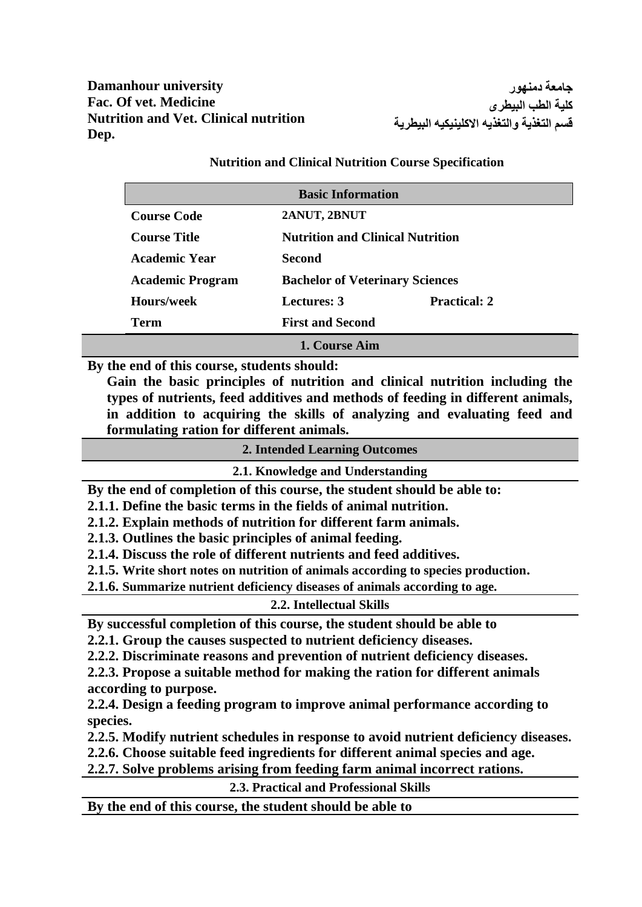**Damanhour university Fac. Of vet. Medicine Nutrition and Vet. Clinical nutrition Dep.**

**جامعة دمنهور كلية الطب البيطرى قسم التغذية والتغذيه االكلينيكيه البيطرية**

|                         | <b>Basic Information</b>               |                                         |  |
|-------------------------|----------------------------------------|-----------------------------------------|--|
| <b>Course Code</b>      | 2ANUT, 2BNUT                           |                                         |  |
| <b>Course Title</b>     |                                        | <b>Nutrition and Clinical Nutrition</b> |  |
| Academic Year           | Second                                 |                                         |  |
| <b>Academic Program</b> | <b>Bachelor of Veterinary Sciences</b> |                                         |  |
| <b>Hours/week</b>       | Lectures: 3                            | <b>Practical: 2</b>                     |  |
| Term                    | <b>First and Second</b>                |                                         |  |
|                         | 1. Course Aim                          |                                         |  |

**Nutrition and Clinical Nutrition Course Specification**

**By the end of this course, students should:**

**Gain the basic principles of nutrition and clinical nutrition including the types of nutrients, feed additives and methods of feeding in different animals, in addition to acquiring the skills of analyzing and evaluating feed and formulating ration for different animals.** 

| <b>2. Intended Learning Outcomes</b>                                                |
|-------------------------------------------------------------------------------------|
| 2.1. Knowledge and Understanding                                                    |
| By the end of completion of this course, the student should be able to:             |
| 2.1.1. Define the basic terms in the fields of animal nutrition.                    |
| 2.1.2. Explain methods of nutrition for different farm animals.                     |
| 2.1.3. Outlines the basic principles of animal feeding.                             |
| 2.1.4. Discuss the role of different nutrients and feed additives.                  |
| 2.1.5. Write short notes on nutrition of animals according to species production.   |
| 2.1.6. Summarize nutrient deficiency diseases of animals according to age.          |
| 2.2. Intellectual Skills                                                            |
| By successful completion of this course, the student should be able to              |
| 2.2.1. Group the causes suspected to nutrient deficiency diseases.                  |
| 2.2.2. Discriminate reasons and prevention of nutrient deficiency diseases.         |
| 2.2.3. Propose a suitable method for making the ration for different animals        |
| according to purpose.                                                               |
| 2.2.4. Design a feeding program to improve animal performance according to          |
| species.                                                                            |
| 2.2.5. Modify nutrient schedules in response to avoid nutrient deficiency diseases. |
| 2.2.6. Choose suitable feed ingredients for different animal species and age.       |
| 2.2.7. Solve problems arising from feeding farm animal incorrect rations.           |
| 2.3. Practical and Professional Skills                                              |
|                                                                                     |

**By the end of this course, the student should be able to**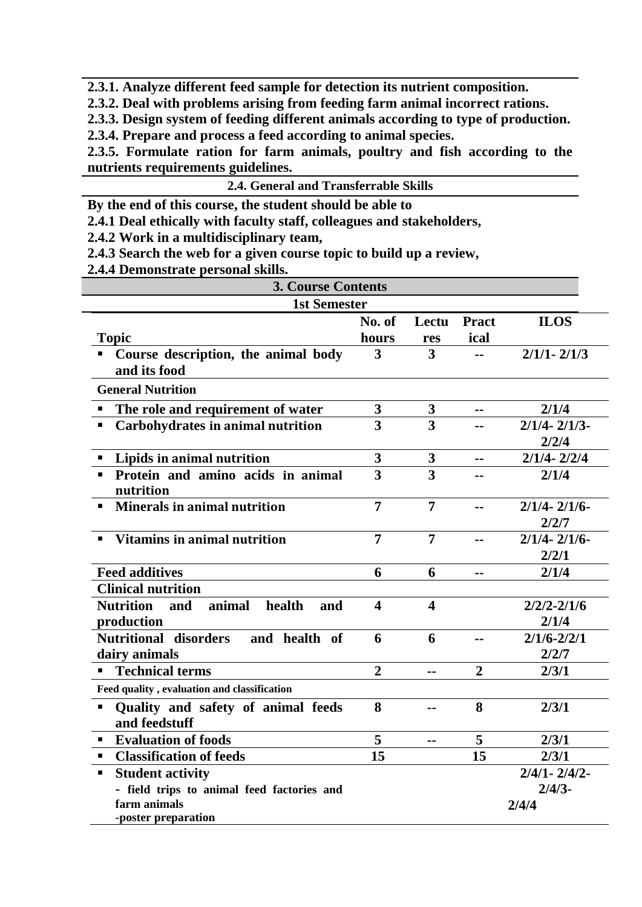**2.3.1. Analyze different feed sample for detection its nutrient composition.**

**2.3.2. Deal with problems arising from feeding farm animal incorrect rations.** 

**2.3.3. Design system of feeding different animals according to type of production.**

**2.3.4. Prepare and process a feed according to animal species.**

**2.3.5. Formulate ration for farm animals, poultry and fish according to the nutrients requirements guidelines.**

| <b>2.4. General and Transferrable Skills</b> |  |
|----------------------------------------------|--|
|                                              |  |

**By the end of this course, the student should be able to**

**2.4.1 Deal ethically with faculty staff, colleagues and stakeholders,**

**2.4.2 Work in a multidisciplinary team,**

**2.4.3 Search the web for a given course topic to build up a review,**

**2.4.4 Demonstrate personal skills.**

| <b>3. Course Contents</b>                               |                         |                               |                |                   |  |
|---------------------------------------------------------|-------------------------|-------------------------------|----------------|-------------------|--|
| <b>1st Semester</b>                                     |                         |                               |                |                   |  |
|                                                         | No. of                  | Lectu                         | <b>Pract</b>   | <b>ILOS</b>       |  |
| <b>Topic</b>                                            | hours                   | res                           | ical           |                   |  |
| Course description, the animal body                     | 3                       | $\overline{\mathbf{3}}$       |                | $2/1/1 - 2/1/3$   |  |
| and its food                                            |                         |                               |                |                   |  |
| <b>General Nutrition</b>                                |                         |                               |                |                   |  |
| The role and requirement of water<br>$\blacksquare$     | 3                       | 3                             | --             | 2/1/4             |  |
| Carbohydrates in animal nutrition<br>п                  | 3                       | 3                             |                | $2/1/4 - 2/1/3$   |  |
|                                                         |                         |                               |                | 2/2/4             |  |
| Lipids in animal nutrition<br>$\blacksquare$            | 3                       | $\mathbf{3}$                  | $=$ $=$        | $2/1/4 - 2/2/4$   |  |
| Protein and amino acids in animal<br>$\blacksquare$     | 3                       | 3                             |                | 2/1/4             |  |
| nutrition                                               |                         |                               |                |                   |  |
| <b>Minerals in animal nutrition</b>                     | 7                       | $\overline{7}$                | --             | $2/1/4 - 2/1/6$   |  |
|                                                         |                         |                               |                | 2/2/7             |  |
| <b>Vitamins in animal nutrition</b>                     | $\overline{7}$          | $\overline{7}$                | --             | $2/1/4 - 2/1/6$   |  |
|                                                         |                         |                               |                | 2/2/1             |  |
| <b>Feed additives</b>                                   | 6                       | 6                             | $=$ $=$        | 2/1/4             |  |
| <b>Clinical nutrition</b>                               |                         |                               |                |                   |  |
| <b>Nutrition</b><br>animal<br>and<br>health<br>and      | $\overline{\mathbf{4}}$ | $\overline{\mathbf{4}}$       |                | $2/2/2 - 2/1/6$   |  |
| production                                              |                         |                               |                | 2/1/4             |  |
| <b>Nutritional</b><br>disorders<br>and health of        | 6                       | 6                             | --             | $2/1/6 - 2/2/1$   |  |
| dairy animals                                           |                         |                               |                | 2/2/7             |  |
| <b>Technical terms</b><br>٠                             | $\overline{2}$          | $-$                           | $\overline{2}$ | 2/3/1             |  |
| Feed quality, evaluation and classification             |                         |                               |                |                   |  |
| Quality and safety of animal feeds<br>п                 | 8                       | --                            | 8              | 2/3/1             |  |
| and feedstuff                                           |                         |                               |                |                   |  |
| <b>Evaluation of foods</b><br>$\blacksquare$            | 5                       | $\blacksquare$ $\blacksquare$ | 5              | 2/3/1             |  |
| <b>Classification of feeds</b><br>$\blacksquare$        | 15<br>15                |                               | 2/3/1          |                   |  |
| <b>Student activity</b><br>$\blacksquare$               |                         |                               |                | $2/4/1 - 2/4/2 -$ |  |
| $2/4/3$ -<br>- field trips to animal feed factories and |                         |                               |                |                   |  |
| farm animals                                            | 2/4/4                   |                               |                |                   |  |
| -poster preparation                                     |                         |                               |                |                   |  |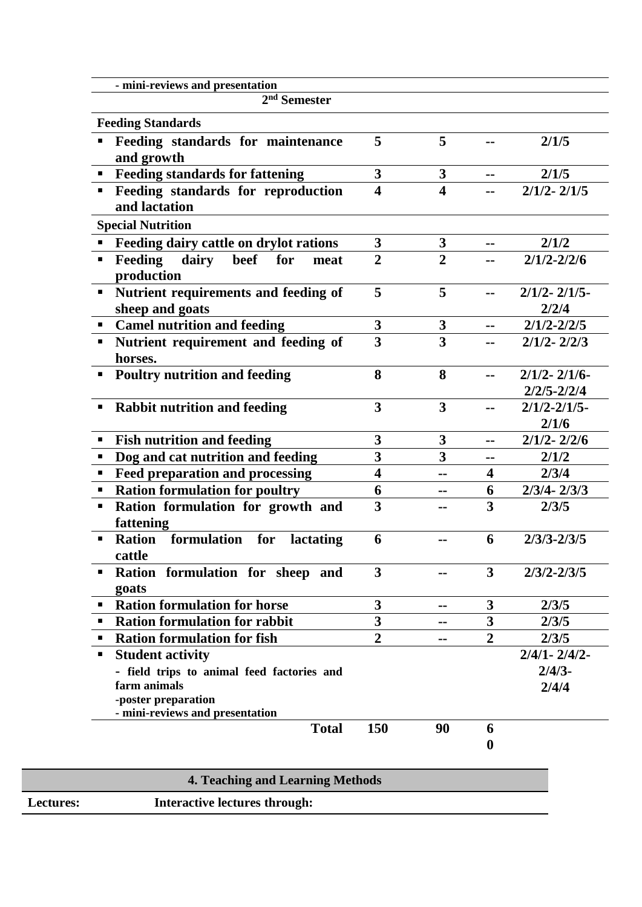| 2 <sup>nd</sup> Semester                                                                                             |                         |                         |                         |                                    |
|----------------------------------------------------------------------------------------------------------------------|-------------------------|-------------------------|-------------------------|------------------------------------|
|                                                                                                                      |                         |                         |                         |                                    |
| <b>Feeding Standards</b>                                                                                             |                         |                         |                         |                                    |
| Feeding standards for maintenance<br>and growth                                                                      | 5                       | 5                       |                         | 2/1/5                              |
| " Feeding standards for fattening                                                                                    | 3                       | $\boldsymbol{3}$        | $-1$                    | 2/1/5                              |
| Feeding standards for reproduction<br>٠<br>and lactation                                                             | $\overline{\mathbf{4}}$ | $\overline{\mathbf{4}}$ |                         | $2/1/2 - 2/1/5$                    |
| <b>Special Nutrition</b>                                                                                             |                         |                         |                         |                                    |
| Feeding dairy cattle on drylot rations                                                                               | 3                       | 3                       | --                      | 2/1/2                              |
| <b>Feeding</b><br>beef<br>dairy<br>for<br>п<br>meat<br>production                                                    | $\overline{2}$          | $\overline{2}$          |                         | $2/1/2 - 2/2/6$                    |
| Nutrient requirements and feeding of<br>٠<br>sheep and goats                                                         | 5                       | 5                       | $=$                     | $2/1/2 - 2/1/5$<br>2/2/4           |
| • Camel nutrition and feeding                                                                                        | 3                       | $\boldsymbol{3}$        |                         | $2/1/2 - 2/2/5$                    |
| Nutrient requirement and feeding of<br>٠<br>horses.                                                                  | 3                       | $\overline{\mathbf{3}}$ |                         | $2/1/2 - 2/2/3$                    |
| <b>Poultry nutrition and feeding</b>                                                                                 | 8                       | 8                       | $-1$                    | $2/1/2 - 2/1/6$<br>$2/2/5 - 2/2/4$ |
| <b>Rabbit nutrition and feeding</b><br>п                                                                             | 3                       | 3                       | $=$ $=$                 | $2/1/2 - 2/1/5$<br>2/1/6           |
| <b>Fish nutrition and feeding</b><br>$\blacksquare$                                                                  | 3                       | 3                       | $=$ $=$                 | $2/1/2 - 2/2/6$                    |
| Dog and cat nutrition and feeding                                                                                    | 3                       | 3                       | --                      | 2/1/2                              |
| <b>Feed preparation and processing</b><br>٠                                                                          | $\overline{\mathbf{4}}$ | --                      | $\overline{\mathbf{4}}$ | 2/3/4                              |
| <b>Ration formulation for poultry</b><br>٠                                                                           | 6                       | --                      | 6                       | $2/3/4 - 2/3/3$                    |
| Ration formulation for growth and<br>П<br>fattening                                                                  | 3                       |                         | 3                       | 2/3/5                              |
| <b>Ration</b><br>formulation<br>for<br>lactating<br>cattle                                                           | 6                       |                         | 6                       | $2/3/3 - 2/3/5$                    |
| Ration formulation for sheep and<br>goats                                                                            | 3                       |                         | 3                       | $2/3/2 - 2/3/5$                    |
| <b>Ration formulation for horse</b>                                                                                  | 3                       | --                      | 3                       | 2/3/5                              |
| <b>Ration formulation for rabbit</b>                                                                                 | 3                       |                         | 3                       | 2/3/5                              |
| <b>Ration formulation for fish</b>                                                                                   | $\overline{2}$          | --                      | $\overline{2}$          | 2/3/5                              |
| <b>Student activity</b><br>٠                                                                                         |                         |                         |                         | $2/4/1 - 2/4/2$                    |
| - field trips to animal feed factories and<br>farm animals<br>-poster preparation<br>- mini-reviews and presentation |                         |                         |                         | $2/4/3$ -<br>2/4/4                 |
| <b>Total</b>                                                                                                         | 150                     | 90                      | 6                       |                                    |
|                                                                                                                      |                         |                         | $\boldsymbol{0}$        |                                    |

|                  | 4. Teaching and Learning Methods     |  |
|------------------|--------------------------------------|--|
| <b>Lectures:</b> | <b>Interactive lectures through:</b> |  |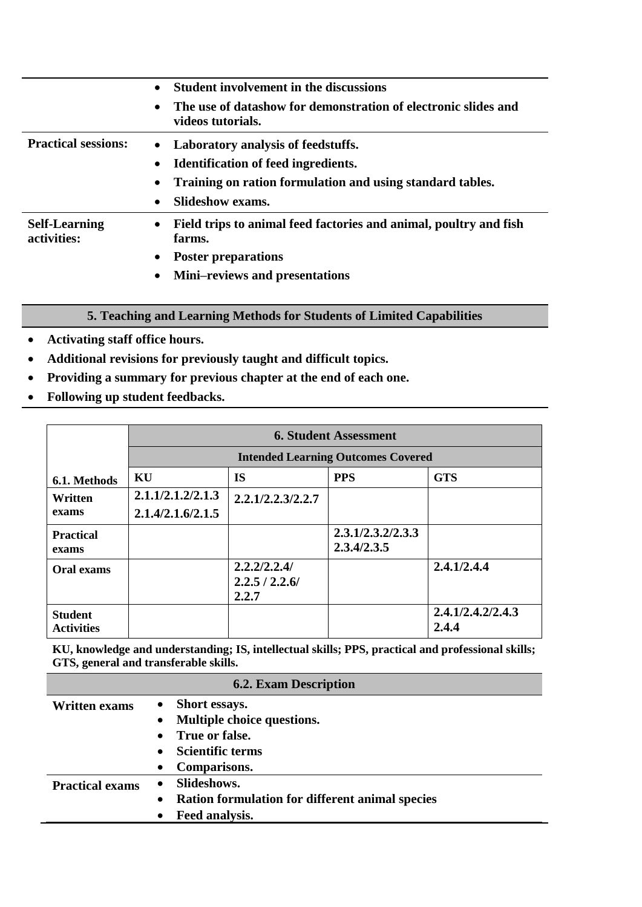|                                     | <b>Student involvement in the discussions</b>                                            |
|-------------------------------------|------------------------------------------------------------------------------------------|
|                                     | The use of datashow for demonstration of electronic slides and<br>videos tutorials.      |
| <b>Practical sessions:</b>          | • Laboratory analysis of feedstuffs.                                                     |
|                                     | <b>Identification of feed ingredients.</b><br>$\bullet$                                  |
|                                     | Training on ration formulation and using standard tables.                                |
|                                     | <b>Slideshow exams.</b><br>$\bullet$                                                     |
| <b>Self-Learning</b><br>activities: | Field trips to animal feed factories and animal, poultry and fish<br>$\bullet$<br>farms. |
|                                     | <b>Poster preparations</b><br>$\bullet$                                                  |
|                                     | <b>Mini–reviews and presentations</b>                                                    |

## **5. Teaching and Learning Methods for Students of Limited Capabilities**

- **Activating staff office hours.**
- **Additional revisions for previously taught and difficult topics.**
- **Providing a summary for previous chapter at the end of each one.**
- **Following up student feedbacks.**

|                   | <b>6. Student Assessment</b>              |                   |                   |                   |
|-------------------|-------------------------------------------|-------------------|-------------------|-------------------|
|                   | <b>Intended Learning Outcomes Covered</b> |                   |                   |                   |
| 6.1. Methods      | KU                                        | <b>IS</b>         | <b>PPS</b>        | <b>GTS</b>        |
| Written           | 2.1.1/2.1.2/2.1.3                         | 2.2.1/2.2.3/2.2.7 |                   |                   |
| exams             | 2.1.4/2.1.6/2.1.5                         |                   |                   |                   |
| <b>Practical</b>  |                                           |                   | 2.3.1/2.3.2/2.3.3 |                   |
| exams             |                                           |                   | 2.3.4/2.3.5       |                   |
| Oral exams        |                                           | 2,2,2/2,2.4/      |                   | 2.4.1/2.4.4       |
|                   |                                           | 2.2.5 / 2.2.6/    |                   |                   |
|                   |                                           | 2.2.7             |                   |                   |
| <b>Student</b>    |                                           |                   |                   | 2.4.1/2.4.2/2.4.3 |
| <b>Activities</b> |                                           |                   |                   | 2.4.4             |

**KU, knowledge and understanding; IS, intellectual skills; PPS, practical and professional skills; GTS, general and transferable skills.**

|                        | <b>6.2. Exam Description</b>                           |
|------------------------|--------------------------------------------------------|
| <b>Written exams</b>   | Short essays.<br>$\bullet$                             |
|                        | Multiple choice questions.                             |
|                        | • True or false.                                       |
|                        | <b>Scientific terms</b>                                |
|                        | Comparisons.<br>$\bullet$                              |
| <b>Practical exams</b> | Slideshows.<br>$\bullet$                               |
|                        | <b>Ration formulation for different animal species</b> |
|                        | Feed analysis.                                         |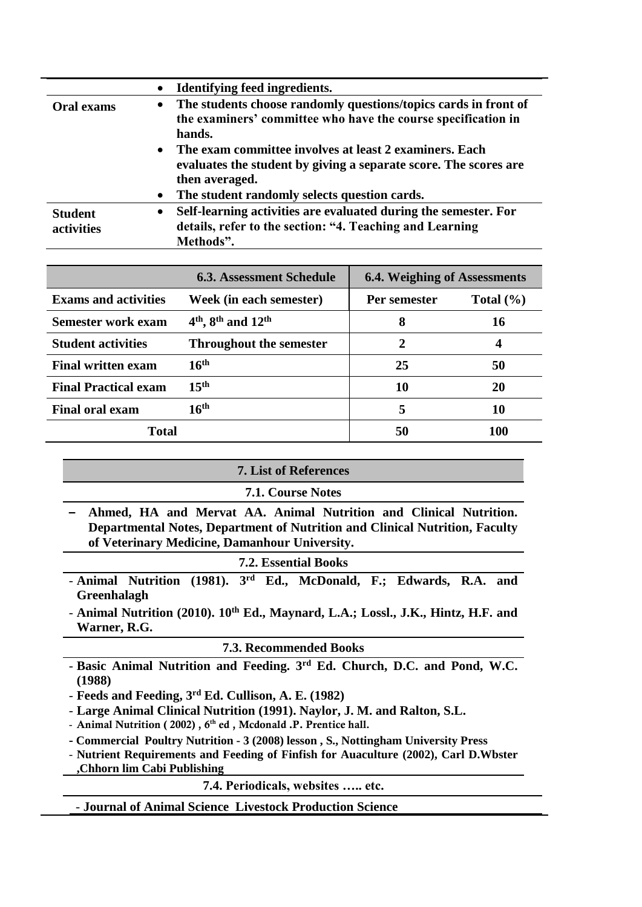|                              | Identifying feed ingredients.                                                                                                                             |  |  |
|------------------------------|-----------------------------------------------------------------------------------------------------------------------------------------------------------|--|--|
| <b>Oral exams</b>            | The students choose randomly questions/topics cards in front of<br>$\bullet$<br>the examiners' committee who have the course specification in<br>hands.   |  |  |
|                              | The exam committee involves at least 2 examiners. Each<br>$\bullet$<br>evaluates the student by giving a separate score. The scores are<br>then averaged. |  |  |
|                              | The student randomly selects question cards.<br>$\bullet$                                                                                                 |  |  |
| <b>Student</b><br>activities | Self-learning activities are evaluated during the semester. For<br>$\bullet$<br>details, refer to the section: "4. Teaching and Learning<br>Methods".     |  |  |
|                              |                                                                                                                                                           |  |  |
|                              |                                                                                                                                                           |  |  |

|                             | <b>6.3. Assessment Schedule</b> | <b>6.4. Weighing of Assessments</b> |               |
|-----------------------------|---------------------------------|-------------------------------------|---------------|
| <b>Exams and activities</b> | Week (in each semester)         | Per semester                        | Total $(\% )$ |
| Semester work exam          | $4th$ , $8th$ and $12th$        | 8                                   | 16            |
| <b>Student activities</b>   | <b>Throughout the semester</b>  | $\mathcal{D}_{\mathcal{L}}$         | 4             |
| <b>Final written exam</b>   | 16 <sup>th</sup>                | 25                                  | 50            |
| <b>Final Practical exam</b> | 15 <sup>th</sup>                | 10                                  | 20            |
| <b>Final oral exam</b>      | 16 <sup>th</sup>                | 5                                   | 10            |
| <b>Total</b>                |                                 | 50                                  | 100           |

| <b>7. List of References</b>                                                                                                                                                                           |  |  |
|--------------------------------------------------------------------------------------------------------------------------------------------------------------------------------------------------------|--|--|
| <b>7.1. Course Notes</b>                                                                                                                                                                               |  |  |
| Ahmed, HA and Mervat AA. Animal Nutrition and Clinical Nutrition.<br>Departmental Notes, Department of Nutrition and Clinical Nutrition, Faculty<br>of Veterinary Medicine, Damanhour University.      |  |  |
| <b>7.2. Essential Books</b>                                                                                                                                                                            |  |  |
| $(1981)$ . 3rd<br>- Animal Nutrition<br>Ed., McDonald, F.; Edwards, R.A. and<br>Greenhalagh                                                                                                            |  |  |
| - Animal Nutrition (2010). 10 <sup>th</sup> Ed., Maynard, L.A.; Lossl., J.K., Hintz, H.F. and<br>Warner, R.G.                                                                                          |  |  |
| <b>7.3. Recommended Books</b>                                                                                                                                                                          |  |  |
| - Basic Animal Nutrition and Feeding. 3 <sup>rd</sup> Ed. Church, D.C. and Pond, W.C.<br>(1988)                                                                                                        |  |  |
| - Feeds and Feeding, 3 <sup>rd</sup> Ed. Cullison, A. E. (1982)                                                                                                                                        |  |  |
| - Large Animal Clinical Nutrition (1991). Naylor, J. M. and Ralton, S.L.<br>- Animal Nutrition (2002), 6 <sup>th</sup> ed, Mcdonald .P. Prentice hall.                                                 |  |  |
| - Commercial Poultry Nutrition - 3 (2008) lesson, S., Nottingham University Press<br>- Nutrient Requirements and Feeding of Finfish for Auaculture (2002), Carl D.Wbster<br>Chhorn lim Cabi Publishing |  |  |
| 7.4. Periodicals, websites  etc.                                                                                                                                                                       |  |  |
| - Journal of Animal Science Livestock Production Science                                                                                                                                               |  |  |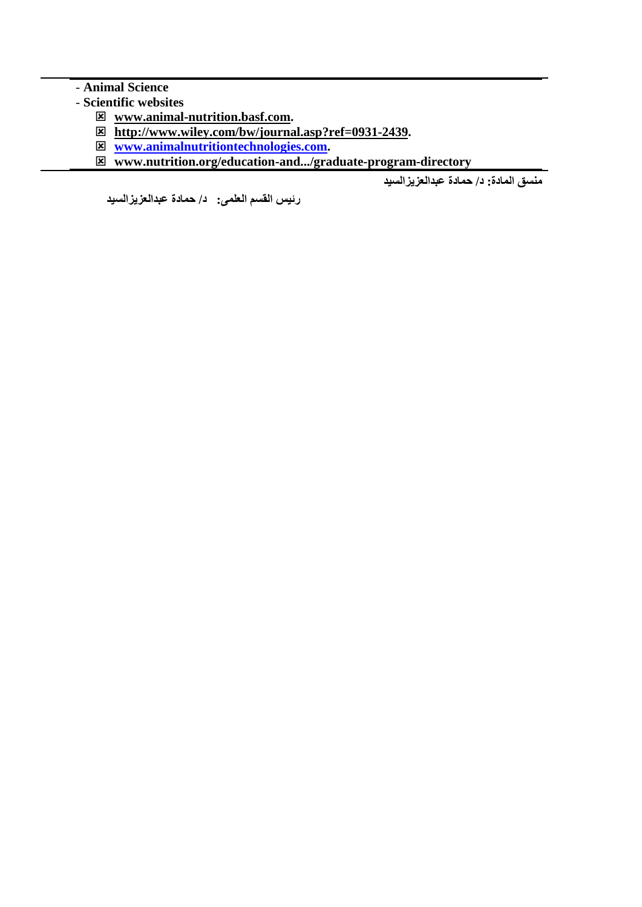## - **Animal Science**

- **Scientific websites**
	- **[www.animal-nutrition.basf.com.](http://www.animal-nutrition.basf.com/)**
	- **[http://www.wiley.com/bw/journal.asp?ref=0931-2439.](http://www.wiley.com/bw/journal.asp?ref=0931-2439)**
	- **[www.animalnutritiontechnologies.com.](http://www.animalnutritiontechnologies.com/)**
	- **www.nutrition.org/education-and.../graduate-program-directory**

**منسق المادة: د/ حمادة عبدالعزيزالسيد**

**رئيس القسم العلمى: د/ حمادة عبدالعزيزالسيد**